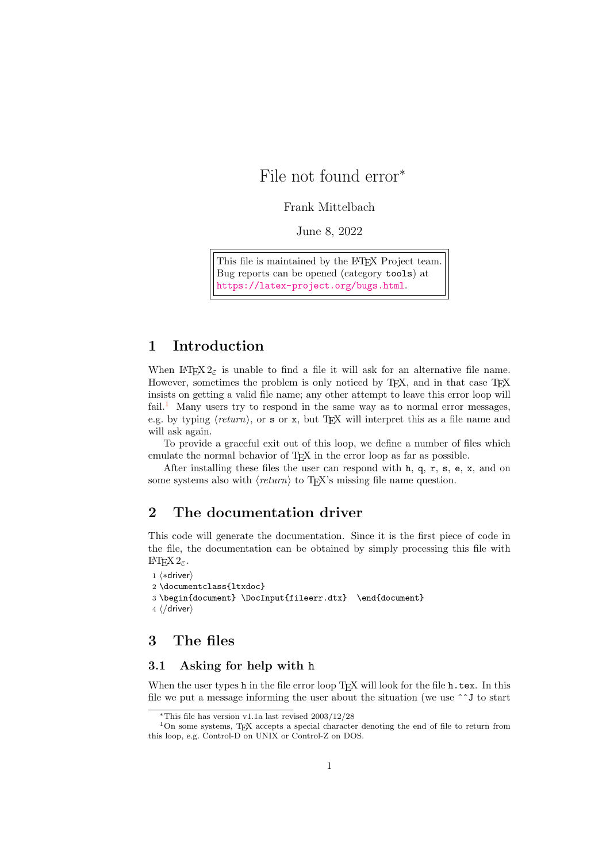# File not found error<sup>∗</sup>

Frank Mittelbach

June 8, 2022

This file is maintained by the L<sup>AT</sup>EX Project team. Bug reports can be opened (category tools) at <https://latex-project.org/bugs.html>.

### 1 Introduction

When  $\text{LATEX } 2\varepsilon$  is unable to find a file it will ask for an alternative file name. However, sometimes the problem is only noticed by  $T_F X$ , and in that case  $T_F X$ insists on getting a valid file name; any other attempt to leave this error loop will fail.<sup>[1](#page-0-0)</sup> Many users try to respond in the same way as to normal error messages, e.g. by typing  $\langle return \rangle$ , or s or x, but TEX will interpret this as a file name and will ask again.

To provide a graceful exit out of this loop, we define a number of files which emulate the normal behavior of T<sub>E</sub>X in the error loop as far as possible.

After installing these files the user can respond with h, q, r, s, e, x, and on some systems also with  $\langle return \rangle$  to T<sub>E</sub>X's missing file name question.

### 2 The documentation driver

This code will generate the documentation. Since it is the first piece of code in the file, the documentation can be obtained by simply processing this file with LAT<sub>E</sub>X 2<sub>ε</sub>.

```
1 ⟨∗driver⟩
2 \documentclass{ltxdoc}
3 \begin{document} \DocInput{fileerr.dtx} \end{document}
4 ⟨/driver⟩
```
## 3 The files

#### 3.1 Asking for help with h

When the user types h in the file error loop TFX will look for the file h.tex. In this file we put a message informing the user about the situation (we use  $\sim$  J to start

<span id="page-0-0"></span><sup>∗</sup>This file has version v1.1a last revised 2003/12/28

 $1$ On some systems, TEX accepts a special character denoting the end of file to return from this loop, e.g. Control-D on UNIX or Control-Z on DOS.